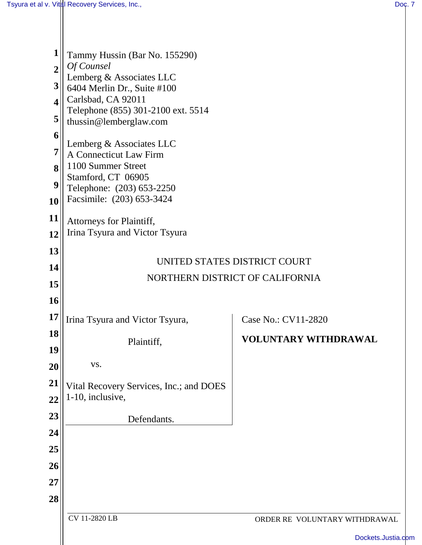| 1<br>$\overline{2}$<br>3<br>$\overline{\mathbf{4}}$<br>5<br>6<br>7<br>8<br>9<br>10 | Tammy Hussin (Bar No. 155290)<br>Of Counsel<br>Lemberg & Associates LLC<br>6404 Merlin Dr., Suite #100<br>Carlsbad, CA 92011<br>Telephone (855) 301-2100 ext. 5514<br>thussin@lemberglaw.com<br>Lemberg & Associates LLC<br>A Connecticut Law Firm<br>1100 Summer Street<br>Stamford, CT 06905<br>Telephone: (203) 653-2250<br>Facsimile: (203) 653-3424 |                               |
|------------------------------------------------------------------------------------|----------------------------------------------------------------------------------------------------------------------------------------------------------------------------------------------------------------------------------------------------------------------------------------------------------------------------------------------------------|-------------------------------|
| 11                                                                                 | Attorneys for Plaintiff,<br>Irina Tsyura and Victor Tsyura                                                                                                                                                                                                                                                                                               |                               |
| 12<br>13                                                                           |                                                                                                                                                                                                                                                                                                                                                          |                               |
| 14                                                                                 | UNITED STATES DISTRICT COURT                                                                                                                                                                                                                                                                                                                             |                               |
| 15                                                                                 | NORTHERN DISTRICT OF CALIFORNIA                                                                                                                                                                                                                                                                                                                          |                               |
| 16                                                                                 |                                                                                                                                                                                                                                                                                                                                                          |                               |
| 17                                                                                 | Irina Tsyura and Victor Tsyura,                                                                                                                                                                                                                                                                                                                          | Case No.: CV11-2820           |
| 18                                                                                 | Plaintiff,                                                                                                                                                                                                                                                                                                                                               | VOLUNTARY WITHDRAWAL          |
| 19                                                                                 |                                                                                                                                                                                                                                                                                                                                                          |                               |
| 20                                                                                 | VS.                                                                                                                                                                                                                                                                                                                                                      |                               |
| 21                                                                                 | Vital Recovery Services, Inc.; and DOES                                                                                                                                                                                                                                                                                                                  |                               |
| 22                                                                                 | 1-10, inclusive,                                                                                                                                                                                                                                                                                                                                         |                               |
| 23<br>24                                                                           | Defendants.                                                                                                                                                                                                                                                                                                                                              |                               |
| 25                                                                                 |                                                                                                                                                                                                                                                                                                                                                          |                               |
| 26                                                                                 |                                                                                                                                                                                                                                                                                                                                                          |                               |
| 27                                                                                 |                                                                                                                                                                                                                                                                                                                                                          |                               |
| 28                                                                                 |                                                                                                                                                                                                                                                                                                                                                          |                               |
|                                                                                    | CV 11-2820 LB                                                                                                                                                                                                                                                                                                                                            | ORDER RE VOLUNTARY WITHDRAWAL |
|                                                                                    |                                                                                                                                                                                                                                                                                                                                                          | Dockets.Justia.com            |